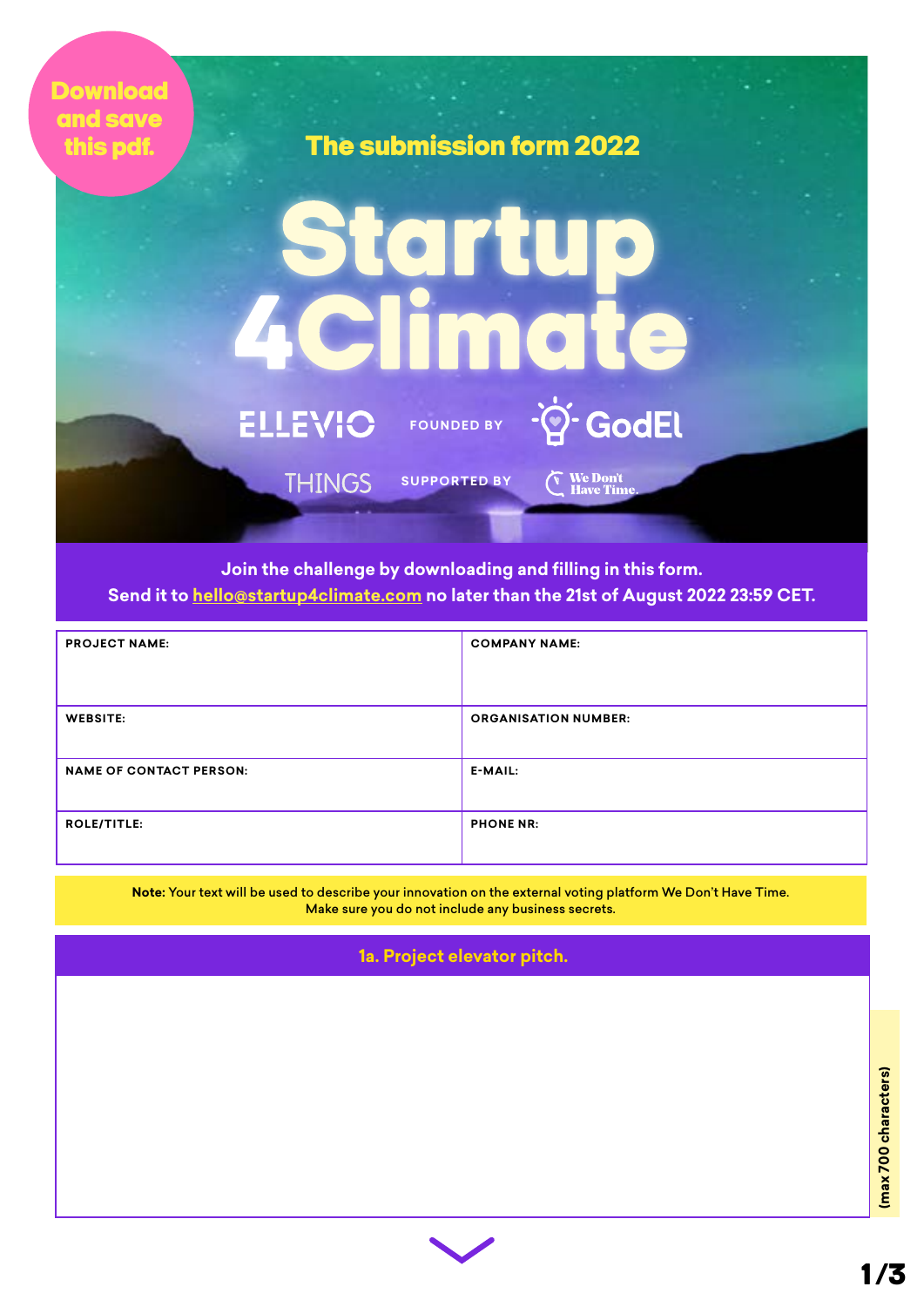| <b>Download</b><br>and save<br>this pdf. |                          | The submission form 2022                   |                                     |  |  |
|------------------------------------------|--------------------------|--------------------------------------------|-------------------------------------|--|--|
|                                          | Startup                  |                                            |                                     |  |  |
|                                          | 4 Climate                |                                            |                                     |  |  |
|                                          | ELLEVIO<br><b>THINGS</b> | FOUNDED BY -? GodEl<br><b>SUPPORTED BY</b> | <b>We Don't</b><br><b>Have Time</b> |  |  |
|                                          |                          |                                            |                                     |  |  |

**Join the challenge by downloading and filling in this form. Send it to [hello@startup4climate.com](mailto:hello%40startup4climate.com%20?subject=Startup%204%20Climate%20Submission) no later than the 21st of August 2022 23:59 CET.**

| <b>PROJECT NAME:</b>           | <b>COMPANY NAME:</b>        |
|--------------------------------|-----------------------------|
|                                |                             |
| <b>WEBSITE:</b>                | <b>ORGANISATION NUMBER:</b> |
| <b>NAME OF CONTACT PERSON:</b> | E-MAIL:                     |
| <b>ROLE/TITLE:</b>             | <b>PHONE NR:</b>            |

**Note:** Your text will be used to describe your innovation on the external voting platform We Don't Have Time. Make sure you do not include any business secrets.

**1a. Project elevator pitch.**

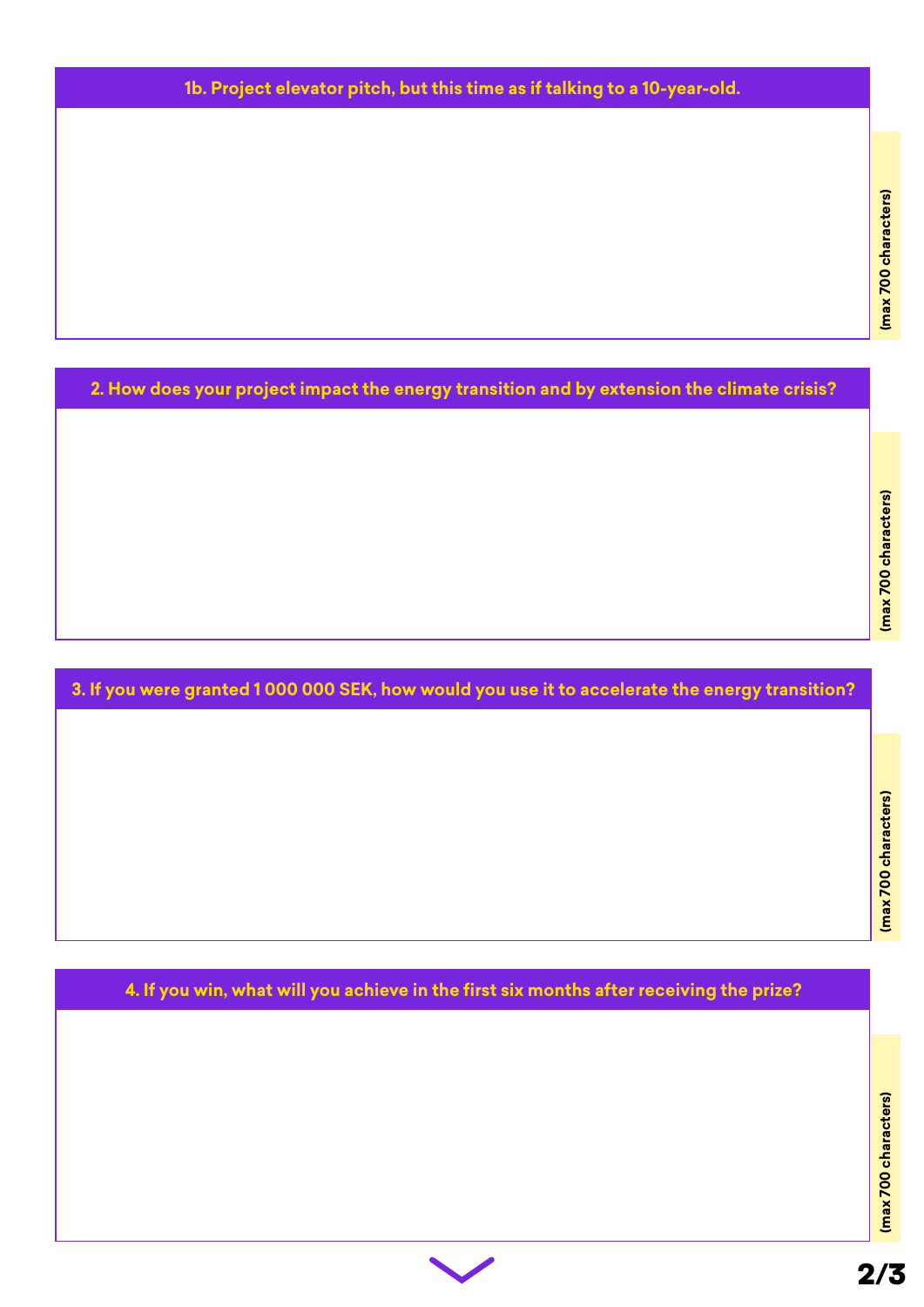## **1b. Project elevator pitch, but this time as if talking to a 10-year-old.**

**2. How does your project impact the energy transition and by extension the climate crisis?**

## **3. If you were granted 1 000 000 SEK, how would you use it to accelerate the energy transition?**

**4. If you win, what will you achieve in the first six months after receiving the prize?**